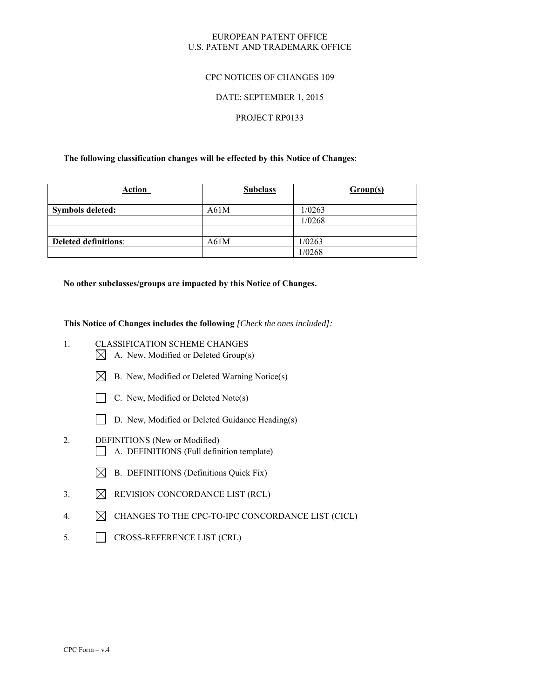### EUROPEAN PATENT OFFICE U.S. PATENT AND TRADEMARK OFFICE

### CPC NOTICES OF CHANGES 109

### DATE: SEPTEMBER 1, 2015

#### PROJECT RP0133

### **The following classification changes will be effected by this Notice of Changes**:

| <b>Action</b>               | <b>Subclass</b> | Group(s) |
|-----------------------------|-----------------|----------|
| Symbols deleted:            | A61M            | 1/0263   |
|                             |                 | 1/0268   |
|                             |                 |          |
| <b>Deleted definitions:</b> | A61M            | 1/0263   |
|                             |                 | 1/0268   |

**No other subclasses/groups are impacted by this Notice of Changes.** 

**This Notice of Changes includes the following** *[Check the ones included]:*

- 1. CLASSIFICATION SCHEME CHANGES
	- $\boxtimes$  A. New, Modified or Deleted Group(s)
	- $\boxtimes$  B. New, Modified or Deleted Warning Notice(s)
	- $\Box$  C. New, Modified or Deleted Note(s)
	- D. New, Modified or Deleted Guidance Heading(s)
- 2. DEFINITIONS (New or Modified) A. DEFINITIONS (Full definition template)
	- $\boxtimes$  B. DEFINITIONS (Definitions Quick Fix)
- 3.  $\boxtimes$  REVISION CONCORDANCE LIST (RCL)
- 4.  $\boxtimes$  CHANGES TO THE CPC-TO-IPC CONCORDANCE LIST (CICL)
- 5. CROSS-REFERENCE LIST (CRL)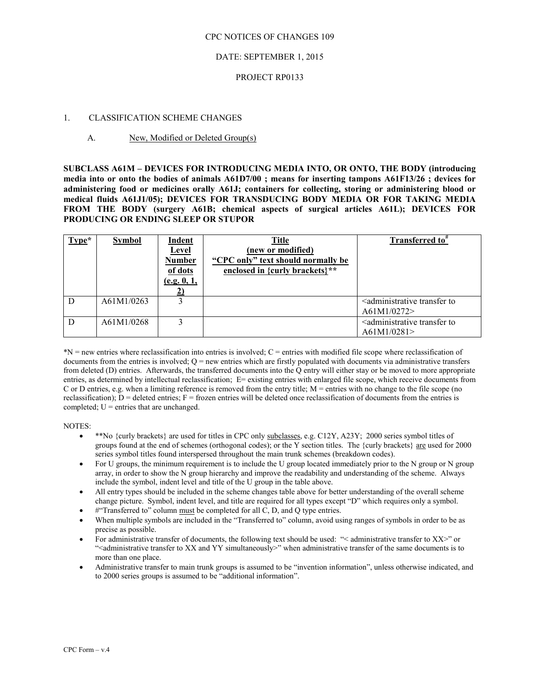### DATE: SEPTEMBER 1, 2015

#### PROJECT RP0133

#### 1. CLASSIFICATION SCHEME CHANGES

### A. New, Modified or Deleted Group(s)

**SUBCLASS A61M – DEVICES FOR INTRODUCING MEDIA INTO, OR ONTO, THE BODY (introducing media into or onto the bodies of animals A61D7/00 ; means for inserting tampons A61F13/26 ; devices for administering food or medicines orally A61J; containers for collecting, storing or administering blood or medical fluids A61J1/05); DEVICES FOR TRANSDUCING BODY MEDIA OR FOR TAKING MEDIA FROM THE BODY (surgery A61B; chemical aspects of surgical articles A61L); DEVICES FOR PRODUCING OR ENDING SLEEP OR STUPOR** 

| Type* | <b>Symbol</b> | Indent<br><b>Level</b><br><b>Number</b><br>of dots<br>(e.g. 0, 1, | <b>Title</b><br>(new or modified)<br>"CPC only" text should normally be<br>enclosed in {curly brackets}** | Transferred to <sup>#</sup>                                          |
|-------|---------------|-------------------------------------------------------------------|-----------------------------------------------------------------------------------------------------------|----------------------------------------------------------------------|
| D     | A61M1/0263    |                                                                   |                                                                                                           | <administrative to<br="" transfer="">A61M1/0272&gt;</administrative> |
| D     | A61M1/0268    |                                                                   |                                                                                                           | <administrative to<br="" transfer="">A61M1/0281</administrative>     |

\*N = new entries where reclassification into entries is involved; C = entries with modified file scope where reclassification of documents from the entries is involved;  $Q =$  new entries which are firstly populated with documents via administrative transfers from deleted (D) entries. Afterwards, the transferred documents into the Q entry will either stay or be moved to more appropriate entries, as determined by intellectual reclassification; E= existing entries with enlarged file scope, which receive documents from C or D entries, e.g. when a limiting reference is removed from the entry title;  $M =$  entries with no change to the file scope (no reclassification);  $D =$  deleted entries;  $F =$  frozen entries will be deleted once reclassification of documents from the entries is completed;  $U =$  entries that are unchanged.

NOTES:

- \*\*No {curly brackets} are used for titles in CPC only subclasses, e.g. C12Y, A23Y; 2000 series symbol titles of groups found at the end of schemes (orthogonal codes); or the Y section titles. The {curly brackets} are used for 2000 series symbol titles found interspersed throughout the main trunk schemes (breakdown codes).
- For U groups, the minimum requirement is to include the U group located immediately prior to the N group or N group array, in order to show the N group hierarchy and improve the readability and understanding of the scheme. Always include the symbol, indent level and title of the U group in the table above.
- All entry types should be included in the scheme changes table above for better understanding of the overall scheme change picture. Symbol, indent level, and title are required for all types except "D" which requires only a symbol.
- $#$ "Transferred to" column must be completed for all C, D, and O type entries.
- When multiple symbols are included in the "Transferred to" column, avoid using ranges of symbols in order to be as precise as possible.
- For administrative transfer of documents, the following text should be used: "< administrative transfer to XX>" or "<administrative transfer to XX and YY simultaneously>" when administrative transfer of the same documents is to more than one place.
- Administrative transfer to main trunk groups is assumed to be "invention information", unless otherwise indicated, and to 2000 series groups is assumed to be "additional information".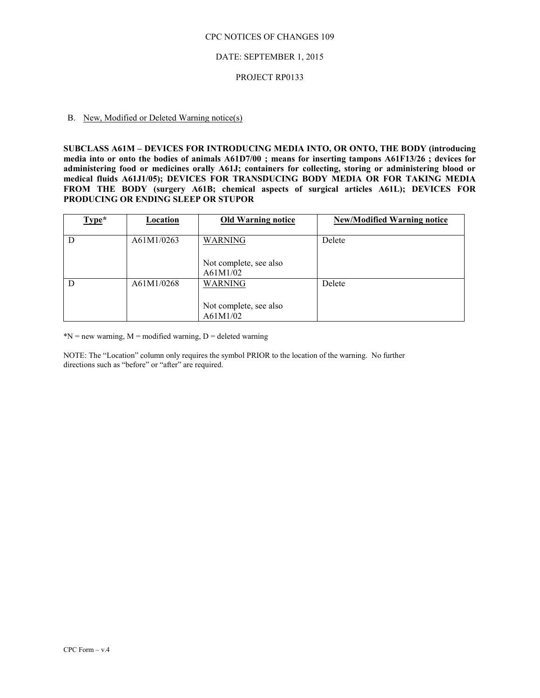#### DATE: SEPTEMBER 1, 2015

#### PROJECT RP0133

## B. New, Modified or Deleted Warning notice(s)

**SUBCLASS A61M – DEVICES FOR INTRODUCING MEDIA INTO, OR ONTO, THE BODY (introducing media into or onto the bodies of animals A61D7/00 ; means for inserting tampons A61F13/26 ; devices for administering food or medicines orally A61J; containers for collecting, storing or administering blood or medical fluids A61J1/05); DEVICES FOR TRANSDUCING BODY MEDIA OR FOR TAKING MEDIA FROM THE BODY (surgery A61B; chemical aspects of surgical articles A61L); DEVICES FOR PRODUCING OR ENDING SLEEP OR STUPOR** 

| $Type*$ | Location   | <b>Old Warning notice</b> | <b>New/Modified Warning notice</b> |
|---------|------------|---------------------------|------------------------------------|
|         |            |                           |                                    |
| D       | A61M1/0263 | <b>WARNING</b>            | Delete                             |
|         |            |                           |                                    |
|         |            | Not complete, see also    |                                    |
|         |            | A61M1/02                  |                                    |
| D       | A61M1/0268 | <b>WARNING</b>            | Delete                             |
|         |            | Not complete, see also    |                                    |
|         |            | A61M1/02                  |                                    |

 $N = new warning, M = modified warning, D = deleted warning$ 

NOTE: The "Location" column only requires the symbol PRIOR to the location of the warning. No further directions such as "before" or "after" are required.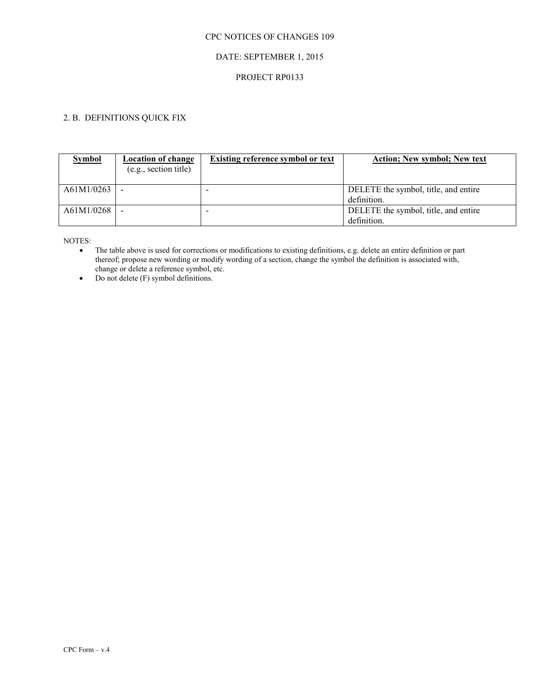## DATE: SEPTEMBER 1, 2015

### PROJECT RP0133

# 2. B. DEFINITIONS QUICK FIX

| <b>Symbol</b> | <b>Location of change</b><br>(e.g., section title) | <b>Existing reference symbol or text</b> | <b>Action</b> ; New symbol; New text |
|---------------|----------------------------------------------------|------------------------------------------|--------------------------------------|
| A61M1/0263    |                                                    |                                          | DELETE the symbol, title, and entire |
|               |                                                    |                                          | definition.                          |
| A61M1/0268    |                                                    |                                          | DELETE the symbol, title, and entire |
|               |                                                    |                                          | definition.                          |

NOTES:

 The table above is used for corrections or modifications to existing definitions, e.g. delete an entire definition or part thereof; propose new wording or modify wording of a section, change the symbol the definition is associated with, change or delete a reference symbol, etc.

• Do not delete (F) symbol definitions.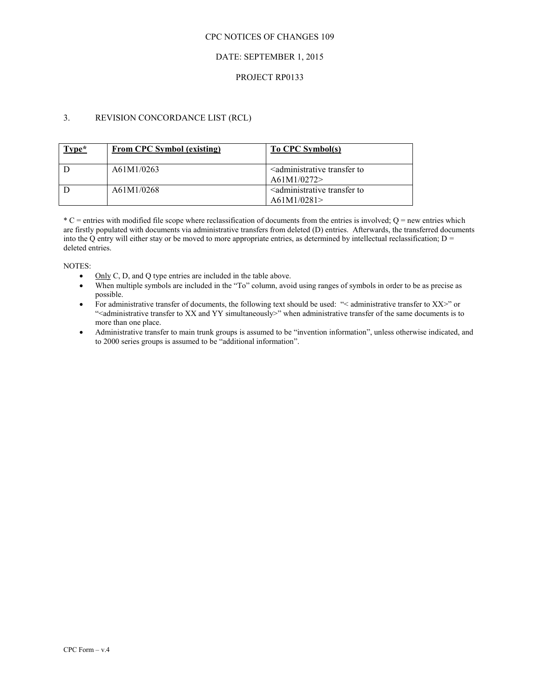### DATE: SEPTEMBER 1, 2015

#### PROJECT RP0133

## 3. REVISION CONCORDANCE LIST (RCL)

| $Type*$ | <b>From CPC Symbol (existing)</b> | To CPC Symbol(s)                                                 |
|---------|-----------------------------------|------------------------------------------------------------------|
|         | A61M1/0263                        | <administrative to<br="" transfer="">A61M1/0272</administrative> |
|         | A61M1/0268                        | <administrative to<br="" transfer="">A61M1/0281</administrative> |

 $*C$  = entries with modified file scope where reclassification of documents from the entries is involved; Q = new entries which are firstly populated with documents via administrative transfers from deleted (D) entries. Afterwards, the transferred documents into the Q entry will either stay or be moved to more appropriate entries, as determined by intellectual reclassification;  $D =$ deleted entries.

NOTES:

- $\bullet$  Only C, D, and Q type entries are included in the table above.
- When multiple symbols are included in the "To" column, avoid using ranges of symbols in order to be as precise as possible.
- For administrative transfer of documents, the following text should be used: "< administrative transfer to XX>" or "<administrative transfer to XX and YY simultaneously>" when administrative transfer of the same documents is to more than one place.
- Administrative transfer to main trunk groups is assumed to be "invention information", unless otherwise indicated, and to 2000 series groups is assumed to be "additional information".